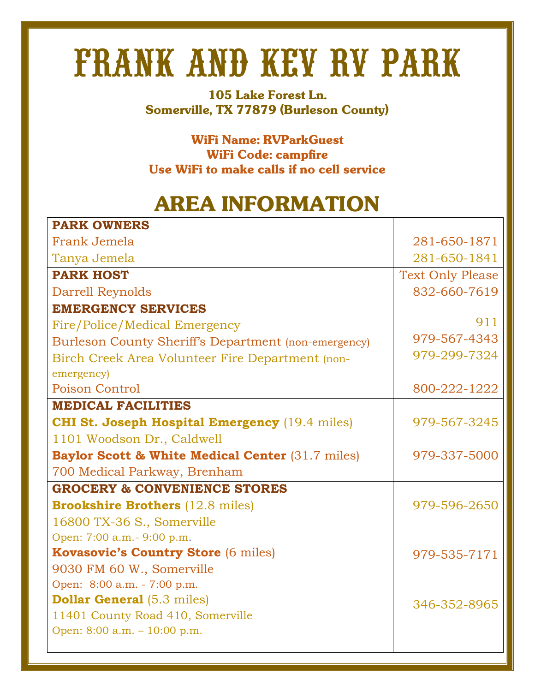## FRANK AND KEV RV PARK

**105 Lake Forest Ln. Somerville, TX 77879 (Burleson County)**

**WiFi Name: RVParkGuest WiFi Code: campfire Use WiFi to make calls if no cell service**

## **AREA INFORMATION**

| <b>PARK OWNERS</b>                                          |                         |
|-------------------------------------------------------------|-------------------------|
| Frank Jemela                                                | 281-650-1871            |
| Tanya Jemela                                                | 281-650-1841            |
| <b>PARK HOST</b>                                            | <b>Text Only Please</b> |
| Darrell Reynolds                                            | 832-660-7619            |
| <b>EMERGENCY SERVICES</b>                                   |                         |
| Fire/Police/Medical Emergency                               | 911                     |
| Burleson County Sheriff's Department (non-emergency)        | 979-567-4343            |
| Birch Creek Area Volunteer Fire Department (non-            | 979-299-7324            |
| emergency)                                                  |                         |
| <b>Poison Control</b>                                       | 800-222-1222            |
| <b>MEDICAL FACILITIES</b>                                   |                         |
| <b>CHI St. Joseph Hospital Emergency</b> (19.4 miles)       | 979-567-3245            |
| 1101 Woodson Dr., Caldwell                                  |                         |
| <b>Baylor Scott &amp; White Medical Center (31.7 miles)</b> | 979-337-5000            |
| 700 Medical Parkway, Brenham                                |                         |
| <b>GROCERY &amp; CONVENIENCE STORES</b>                     |                         |
| <b>Brookshire Brothers (12.8 miles)</b>                     | 979-596-2650            |
| 16800 TX-36 S., Somerville                                  |                         |
| Open: 7:00 a.m. - 9:00 p.m.                                 |                         |
| <b>Kovasovic's Country Store (6 miles)</b>                  | 979-535-7171            |
| 9030 FM 60 W., Somerville                                   |                         |
| Open: 8:00 a.m. - 7:00 p.m.                                 |                         |
| <b>Dollar General</b> (5.3 miles)                           | 346-352-8965            |
| 11401 County Road 410, Somerville                           |                         |
| Open: 8:00 a.m. - 10:00 p.m.                                |                         |
|                                                             |                         |